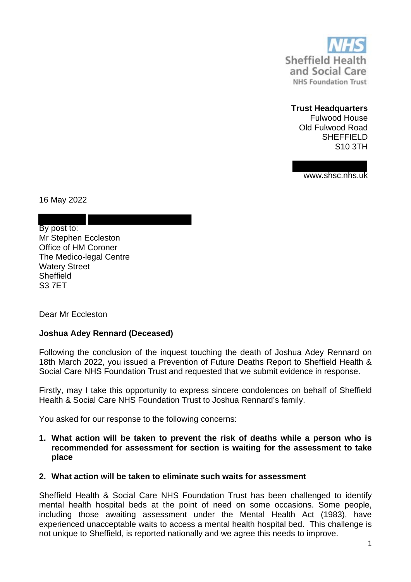

## **Trust Headquarters**

Fulwood House Old Fulwood Road SHEFFIELD S10 3TH

www.shsc.nhs.uk

16 May 2022

By post to: Mr Stephen Eccleston Office of HM Coroner The Medico-legal Centre Watery Street **Sheffield** S3 7ET

Dear Mr Eccleston

## **Joshua Adey Rennard (Deceased)**

Following the conclusion of the inquest touching the death of Joshua Adey Rennard on 18th March 2022, you issued a Prevention of Future Deaths Report to Sheffield Health & Social Care NHS Foundation Trust and requested that we submit evidence in response.

Firstly, may I take this opportunity to express sincere condolences on behalf of Sheffield Health & Social Care NHS Foundation Trust to Joshua Rennard's family.

You asked for our response to the following concerns:

**1. What action will be taken to prevent the risk of deaths while a person who is recommended for assessment for section is waiting for the assessment to take place**

## **2. What action will be taken to eliminate such waits for assessment**

Sheffield Health & Social Care NHS Foundation Trust has been challenged to identify mental health hospital beds at the point of need on some occasions. Some people, including those awaiting assessment under the Mental Health Act (1983), have experienced unacceptable waits to access a mental health hospital bed. This challenge is not unique to Sheffield, is reported nationally and we agree this needs to improve.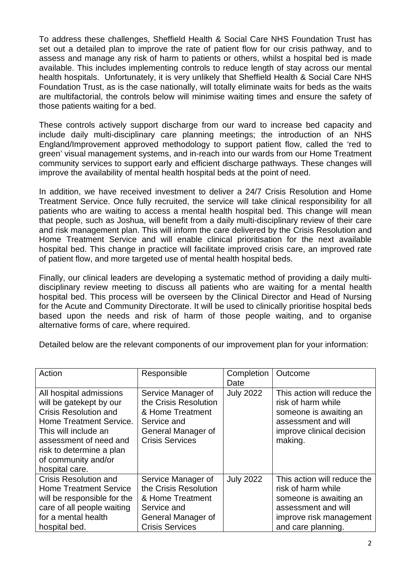To address these challenges, Sheffield Health & Social Care NHS Foundation Trust has set out a detailed plan to improve the rate of patient flow for our crisis pathway, and to assess and manage any risk of harm to patients or others, whilst a hospital bed is made available. This includes implementing controls to reduce length of stay across our mental health hospitals. Unfortunately, it is very unlikely that Sheffield Health & Social Care NHS Foundation Trust, as is the case nationally, will totally eliminate waits for beds as the waits are multifactorial, the controls below will minimise waiting times and ensure the safety of those patients waiting for a bed.

These controls actively support discharge from our ward to increase bed capacity and include daily multi-disciplinary care planning meetings; the introduction of an NHS England/Improvement approved methodology to support patient flow, called the 'red to green' visual management systems, and in-reach into our wards from our Home Treatment community services to support early and efficient discharge pathways. These changes will improve the availability of mental health hospital beds at the point of need.

In addition, we have received investment to deliver a 24/7 Crisis Resolution and Home Treatment Service. Once fully recruited, the service will take clinical responsibility for all patients who are waiting to access a mental health hospital bed. This change will mean that people, such as Joshua, will benefit from a daily multi-disciplinary review of their care and risk management plan. This will inform the care delivered by the Crisis Resolution and Home Treatment Service and will enable clinical prioritisation for the next available hospital bed. This change in practice will facilitate improved crisis care, an improved rate of patient flow, and more targeted use of mental health hospital beds.

Finally, our clinical leaders are developing a systematic method of providing a daily multidisciplinary review meeting to discuss all patients who are waiting for a mental health hospital bed. This process will be overseen by the Clinical Director and Head of Nursing for the Acute and Community Directorate. It will be used to clinically prioritise hospital beds based upon the needs and risk of harm of those people waiting, and to organise alternative forms of care, where required.

Detailed below are the relevant components of our improvement plan for your information:

| Action                                                                                                                                                                                                                               | Responsible                                                                                                                    | Completion<br>Date | Outcome                                                                                                                                             |
|--------------------------------------------------------------------------------------------------------------------------------------------------------------------------------------------------------------------------------------|--------------------------------------------------------------------------------------------------------------------------------|--------------------|-----------------------------------------------------------------------------------------------------------------------------------------------------|
| All hospital admissions<br>will be gatekept by our<br><b>Crisis Resolution and</b><br>Home Treatment Service.<br>This will include an<br>assessment of need and<br>risk to determine a plan<br>of community and/or<br>hospital care. | Service Manager of<br>the Crisis Resolution<br>& Home Treatment<br>Service and<br>General Manager of<br><b>Crisis Services</b> | <b>July 2022</b>   | This action will reduce the<br>risk of harm while<br>someone is awaiting an<br>assessment and will<br>improve clinical decision<br>making.          |
| <b>Crisis Resolution and</b><br><b>Home Treatment Service</b><br>will be responsible for the<br>care of all people waiting<br>for a mental health<br>hospital bed.                                                                   | Service Manager of<br>the Crisis Resolution<br>& Home Treatment<br>Service and<br>General Manager of<br><b>Crisis Services</b> | <b>July 2022</b>   | This action will reduce the<br>risk of harm while<br>someone is awaiting an<br>assessment and will<br>improve risk management<br>and care planning. |